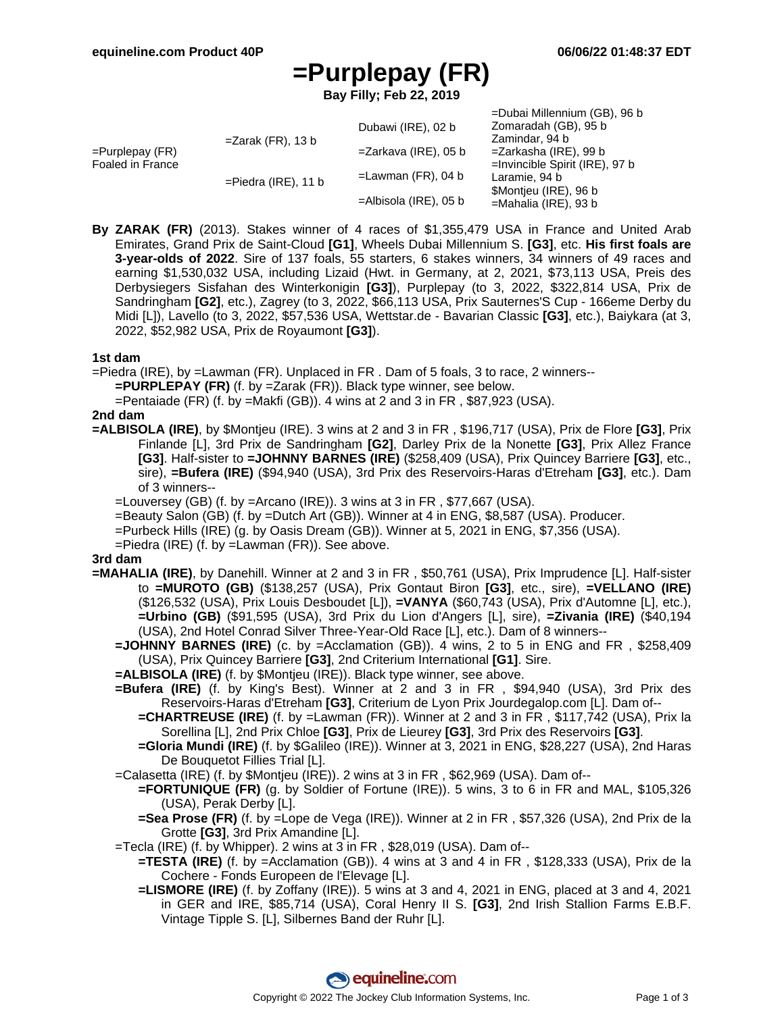# **=Purplepay (FR)**

**Bay Filly; Feb 22, 2019**

|                                        |                        |                          | =Dubai Millennium (GB), 96 b      |
|----------------------------------------|------------------------|--------------------------|-----------------------------------|
| $=$ Purplepay (FR)<br>Foaled in France | $=Z$ arak (FR), 13 b   | Dubawi (IRE), 02 b       | Zomaradah (GB), 95 b              |
|                                        |                        |                          | Zamindar, 94 b                    |
|                                        |                        | $=$ Zarkava (IRE), 05 b  | =Zarkasha (IRE), 99 b             |
|                                        |                        |                          | $=$ Invincible Spirit (IRE), 97 b |
|                                        | $=$ Piedra (IRE), 11 b | $=$ Lawman (FR), 04 b    | Laramie, 94 b                     |
|                                        |                        | $=$ Albisola (IRE), 05 b | \$Montjeu (IRE), 96 b             |
|                                        |                        |                          | $=$ Mahalia (IRE), 93 b           |

**By ZARAK (FR)** (2013). Stakes winner of 4 races of \$1,355,479 USA in France and United Arab Emirates, Grand Prix de Saint-Cloud **[G1]**, Wheels Dubai Millennium S. **[G3]**, etc. **His first foals are 3-year-olds of 2022**. Sire of 137 foals, 55 starters, 6 stakes winners, 34 winners of 49 races and earning \$1,530,032 USA, including Lizaid (Hwt. in Germany, at 2, 2021, \$73,113 USA, Preis des Derbysiegers Sisfahan des Winterkonigin **[G3]**), Purplepay (to 3, 2022, \$322,814 USA, Prix de Sandringham **[G2]**, etc.), Zagrey (to 3, 2022, \$66,113 USA, Prix Sauternes'S Cup - 166eme Derby du Midi [L]), Lavello (to 3, 2022, \$57,536 USA, Wettstar.de - Bavarian Classic **[G3]**, etc.), Baiykara (at 3, 2022, \$52,982 USA, Prix de Royaumont **[G3]**).

#### **1st dam**

=Piedra (IRE), by =Lawman (FR). Unplaced in FR . Dam of 5 foals, 3 to race, 2 winners--

**=PURPLEPAY (FR)** (f. by =Zarak (FR)). Black type winner, see below.

=Pentaiade (FR) (f. by =Makfi (GB)). 4 wins at 2 and 3 in FR , \$87,923 (USA).

#### **2nd dam**

- **=ALBISOLA (IRE)**, by \$Montjeu (IRE). 3 wins at 2 and 3 in FR , \$196,717 (USA), Prix de Flore **[G3]**, Prix Finlande [L], 3rd Prix de Sandringham **[G2]**, Darley Prix de la Nonette **[G3]**, Prix Allez France **[G3]**. Half-sister to **=JOHNNY BARNES (IRE)** (\$258,409 (USA), Prix Quincey Barriere **[G3]**, etc., sire), **=Bufera (IRE)** (\$94,940 (USA), 3rd Prix des Reservoirs-Haras d'Etreham **[G3]**, etc.). Dam of 3 winners--
	- $=$ Louversey (GB) (f. by  $=$ Arcano (IRE)). 3 wins at 3 in FR, \$77,667 (USA).
	- =Beauty Salon (GB) (f. by =Dutch Art (GB)). Winner at 4 in ENG, \$8,587 (USA). Producer.
	- =Purbeck Hills (IRE) (g. by Oasis Dream (GB)). Winner at 5, 2021 in ENG, \$7,356 (USA).
	- =Piedra (IRE) (f. by =Lawman (FR)). See above.

#### **3rd dam**

- **=MAHALIA (IRE)**, by Danehill. Winner at 2 and 3 in FR , \$50,761 (USA), Prix Imprudence [L]. Half-sister to **=MUROTO (GB)** (\$138,257 (USA), Prix Gontaut Biron **[G3]**, etc., sire), **=VELLANO (IRE)** (\$126,532 (USA), Prix Louis Desboudet [L]), **=VANYA** (\$60,743 (USA), Prix d'Automne [L], etc.), **=Urbino (GB)** (\$91,595 (USA), 3rd Prix du Lion d'Angers [L], sire), **=Zivania (IRE)** (\$40,194 (USA), 2nd Hotel Conrad Silver Three-Year-Old Race [L], etc.). Dam of 8 winners--
	- **=JOHNNY BARNES (IRE)** (c. by =Acclamation (GB)). 4 wins, 2 to 5 in ENG and FR , \$258,409 (USA), Prix Quincey Barriere **[G3]**, 2nd Criterium International **[G1]**. Sire.
	- **=ALBISOLA (IRE)** (f. by \$Montjeu (IRE)). Black type winner, see above.
	- **=Bufera (IRE)** (f. by King's Best). Winner at 2 and 3 in FR , \$94,940 (USA), 3rd Prix des Reservoirs-Haras d'Etreham **[G3]**, Criterium de Lyon Prix Jourdegalop.com [L]. Dam of--
		- **=CHARTREUSE (IRE)** (f. by =Lawman (FR)). Winner at 2 and 3 in FR , \$117,742 (USA), Prix la Sorellina [L], 2nd Prix Chloe **[G3]**, Prix de Lieurey **[G3]**, 3rd Prix des Reservoirs **[G3]**.
		- **=Gloria Mundi (IRE)** (f. by \$Galileo (IRE)). Winner at 3, 2021 in ENG, \$28,227 (USA), 2nd Haras De Bouquetot Fillies Trial [L].
	- =Calasetta (IRE) (f. by \$Montjeu (IRE)). 2 wins at 3 in FR , \$62,969 (USA). Dam of--
		- **=FORTUNIQUE (FR)** (g. by Soldier of Fortune (IRE)). 5 wins, 3 to 6 in FR and MAL, \$105,326 (USA), Perak Derby [L].
		- **=Sea Prose (FR)** (f. by =Lope de Vega (IRE)). Winner at 2 in FR , \$57,326 (USA), 2nd Prix de la Grotte **[G3]**, 3rd Prix Amandine [L].
	- =Tecla (IRE) (f. by Whipper). 2 wins at 3 in FR , \$28,019 (USA). Dam of--
		- **=TESTA (IRE)** (f. by =Acclamation (GB)). 4 wins at 3 and 4 in FR , \$128,333 (USA), Prix de la Cochere - Fonds Europeen de l'Elevage [L].
		- **=LISMORE (IRE)** (f. by Zoffany (IRE)). 5 wins at 3 and 4, 2021 in ENG, placed at 3 and 4, 2021 in GER and IRE, \$85,714 (USA), Coral Henry II S. **[G3]**, 2nd Irish Stallion Farms E.B.F. Vintage Tipple S. [L], Silbernes Band der Ruhr [L].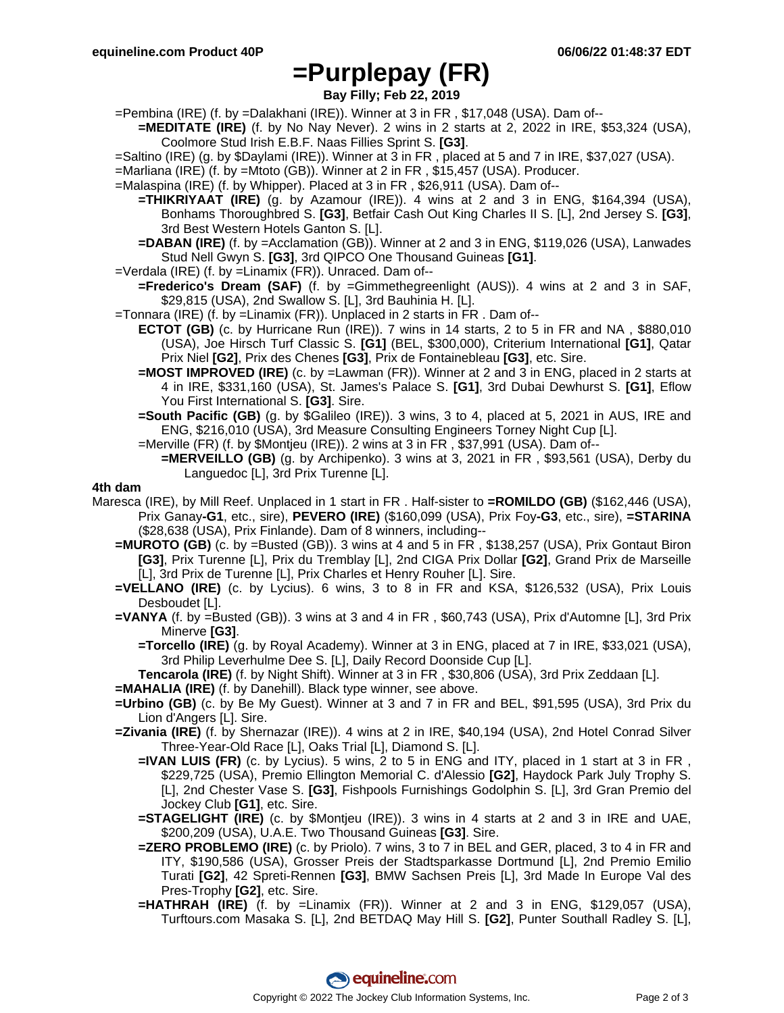## **=Purplepay (FR)**

**Bay Filly; Feb 22, 2019**

- =Pembina (IRE) (f. by =Dalakhani (IRE)). Winner at 3 in FR , \$17,048 (USA). Dam of--
- **=MEDITATE (IRE)** (f. by No Nay Never). 2 wins in 2 starts at 2, 2022 in IRE, \$53,324 (USA), Coolmore Stud Irish E.B.F. Naas Fillies Sprint S. **[G3]**.
- =Saltino (IRE) (g. by \$Daylami (IRE)). Winner at 3 in FR , placed at 5 and 7 in IRE, \$37,027 (USA).
- =Marliana (IRE) (f. by =Mtoto (GB)). Winner at 2 in FR , \$15,457 (USA). Producer.
- =Malaspina (IRE) (f. by Whipper). Placed at 3 in FR , \$26,911 (USA). Dam of--
	- **=THIKRIYAAT (IRE)** (g. by Azamour (IRE)). 4 wins at 2 and 3 in ENG, \$164,394 (USA), Bonhams Thoroughbred S. **[G3]**, Betfair Cash Out King Charles II S. [L], 2nd Jersey S. **[G3]**, 3rd Best Western Hotels Ganton S. [L].
	- **=DABAN (IRE)** (f. by =Acclamation (GB)). Winner at 2 and 3 in ENG, \$119,026 (USA), Lanwades Stud Nell Gwyn S. **[G3]**, 3rd QIPCO One Thousand Guineas **[G1]**.
- =Verdala (IRE) (f. by =Linamix (FR)). Unraced. Dam of--
	- **=Frederico's Dream (SAF)** (f. by =Gimmethegreenlight (AUS)). 4 wins at 2 and 3 in SAF, \$29,815 (USA), 2nd Swallow S. [L], 3rd Bauhinia H. [L].
- =Tonnara (IRE) (f. by =Linamix (FR)). Unplaced in 2 starts in FR . Dam of--
	- **ECTOT (GB)** (c. by Hurricane Run (IRE)). 7 wins in 14 starts, 2 to 5 in FR and NA , \$880,010 (USA), Joe Hirsch Turf Classic S. **[G1]** (BEL, \$300,000), Criterium International **[G1]**, Qatar Prix Niel **[G2]**, Prix des Chenes **[G3]**, Prix de Fontainebleau **[G3]**, etc. Sire.
	- **=MOST IMPROVED (IRE)** (c. by =Lawman (FR)). Winner at 2 and 3 in ENG, placed in 2 starts at 4 in IRE, \$331,160 (USA), St. James's Palace S. **[G1]**, 3rd Dubai Dewhurst S. **[G1]**, Eflow You First International S. **[G3]**. Sire.
	- **=South Pacific (GB)** (g. by \$Galileo (IRE)). 3 wins, 3 to 4, placed at 5, 2021 in AUS, IRE and ENG, \$216,010 (USA), 3rd Measure Consulting Engineers Torney Night Cup [L].
	- =Merville (FR) (f. by \$Montjeu (IRE)). 2 wins at 3 in FR , \$37,991 (USA). Dam of--
		- **=MERVEILLO (GB)** (g. by Archipenko). 3 wins at 3, 2021 in FR, \$93,561 (USA), Derby du Languedoc [L], 3rd Prix Turenne [L].

#### **4th dam**

- Maresca (IRE), by Mill Reef. Unplaced in 1 start in FR . Half-sister to **=ROMILDO (GB)** (\$162,446 (USA), Prix Ganay**-G1**, etc., sire), **PEVERO (IRE)** (\$160,099 (USA), Prix Foy**-G3**, etc., sire), **=STARINA** (\$28,638 (USA), Prix Finlande). Dam of 8 winners, including--
	- **=MUROTO (GB)** (c. by =Busted (GB)). 3 wins at 4 and 5 in FR , \$138,257 (USA), Prix Gontaut Biron **[G3]**, Prix Turenne [L], Prix du Tremblay [L], 2nd CIGA Prix Dollar **[G2]**, Grand Prix de Marseille [L], 3rd Prix de Turenne [L], Prix Charles et Henry Rouher [L]. Sire.
	- **=VELLANO (IRE)** (c. by Lycius). 6 wins, 3 to 8 in FR and KSA, \$126,532 (USA), Prix Louis Desboudet [L].
	- **=VANYA** (f. by =Busted (GB)). 3 wins at 3 and 4 in FR , \$60,743 (USA), Prix d'Automne [L], 3rd Prix Minerve **[G3]**.
		- **=Torcello (IRE)** (g. by Royal Academy). Winner at 3 in ENG, placed at 7 in IRE, \$33,021 (USA), 3rd Philip Leverhulme Dee S. [L], Daily Record Doonside Cup [L].

**Tencarola (IRE)** (f. by Night Shift). Winner at 3 in FR , \$30,806 (USA), 3rd Prix Zeddaan [L].

- **=MAHALIA (IRE)** (f. by Danehill). Black type winner, see above.
- **=Urbino (GB)** (c. by Be My Guest). Winner at 3 and 7 in FR and BEL, \$91,595 (USA), 3rd Prix du Lion d'Angers [L]. Sire.
- **=Zivania (IRE)** (f. by Shernazar (IRE)). 4 wins at 2 in IRE, \$40,194 (USA), 2nd Hotel Conrad Silver Three-Year-Old Race [L], Oaks Trial [L], Diamond S. [L].
	- **=IVAN LUIS (FR)** (c. by Lycius). 5 wins, 2 to 5 in ENG and ITY, placed in 1 start at 3 in FR , \$229,725 (USA), Premio Ellington Memorial C. d'Alessio **[G2]**, Haydock Park July Trophy S. [L], 2nd Chester Vase S. **[G3]**, Fishpools Furnishings Godolphin S. [L], 3rd Gran Premio del Jockey Club **[G1]**, etc. Sire.
	- **=STAGELIGHT (IRE)** (c. by \$Montjeu (IRE)). 3 wins in 4 starts at 2 and 3 in IRE and UAE, \$200,209 (USA), U.A.E. Two Thousand Guineas **[G3]**. Sire.
	- **=ZERO PROBLEMO (IRE)** (c. by Priolo). 7 wins, 3 to 7 in BEL and GER, placed, 3 to 4 in FR and ITY, \$190,586 (USA), Grosser Preis der Stadtsparkasse Dortmund [L], 2nd Premio Emilio Turati **[G2]**, 42 Spreti-Rennen **[G3]**, BMW Sachsen Preis [L], 3rd Made In Europe Val des Pres-Trophy **[G2]**, etc. Sire.
	- **=HATHRAH (IRE)** (f. by =Linamix (FR)). Winner at 2 and 3 in ENG, \$129,057 (USA), Turftours.com Masaka S. [L], 2nd BETDAQ May Hill S. **[G2]**, Punter Southall Radley S. [L],